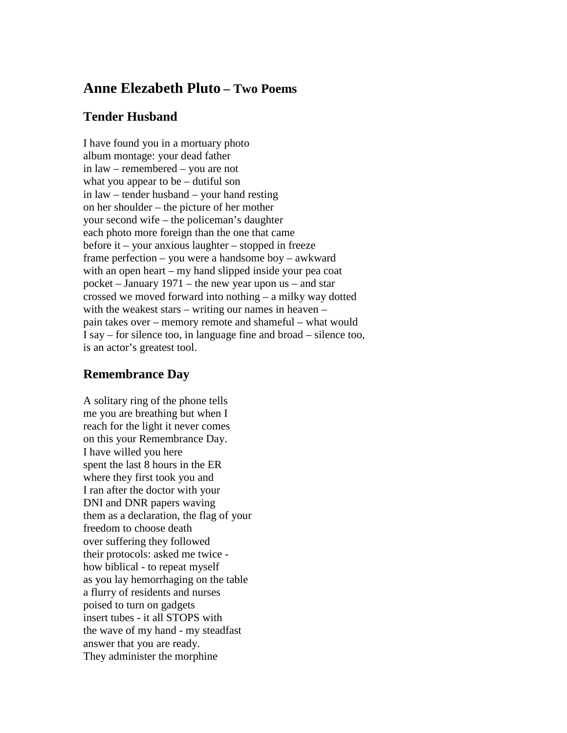## **Anne Elezabeth Pluto – Two Poems**

## **Tender Husband**

I have found you in a mortuary photo album montage: your dead father in law – remembered – you are not what you appear to be – dutiful son in law – tender husband – your hand resting on her shoulder – the picture of her mother your second wife – the policeman's daughter each photo more foreign than the one that came before it – your anxious laughter – stopped in freeze frame perfection – you were a handsome boy – awkward with an open heart – my hand slipped inside your pea coat pocket – January 1971 – the new year upon us – and star crossed we moved forward into nothing – a milky way dotted with the weakest stars – writing our names in heaven – pain takes over – memory remote and shameful – what would I say – for silence too, in language fine and broad – silence too, is an actor's greatest tool.

## **Remembrance Day**

A solitary ring of the phone tells me you are breathing but when I reach for the light it never comes on this your Remembrance Day. I have willed you here spent the last 8 hours in the ER where they first took you and I ran after the doctor with your DNI and DNR papers waving them as a declaration, the flag of your freedom to choose death over suffering they followed their protocols: asked me twice how biblical - to repeat myself as you lay hemorrhaging on the table a flurry of residents and nurses poised to turn on gadgets insert tubes - it all STOPS with the wave of my hand - my steadfast answer that you are ready. They administer the morphine